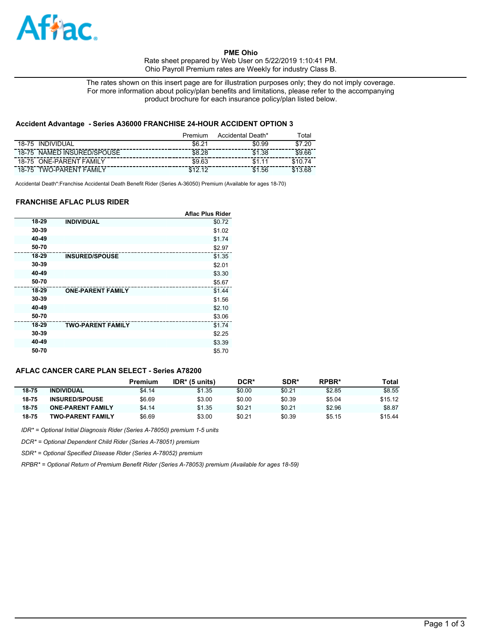

**PME Ohio**  Rate sheet prepared by Web User on 5/22/2019 1:10:41 PM. Ohio Payroll Premium rates are Weekly for industry Class B.

The rates shown on this insert page are for illustration purposes only; they do not imply coverage. For more information about policy/plan benefits and limitations, please refer to the accompanying product brochure for each insurance policy/plan listed below.

## **Accident Advantage - Series A36000 FRANCHISE 24-HOUR ACCIDENT OPTION 3**

|                                   | Premium    | Accidental Death* | <sup>г</sup> otal |
|-----------------------------------|------------|-------------------|-------------------|
| <b>INDIVIDUAL</b><br>18-75        | \$6.21     | \$0.99            | .20<br>\$7        |
| NAMED INSURED/SPOUSE<br>$18 - 75$ | \$8.28     | \$1.38            | \$9.66            |
| <b>ONE-PARENT FAMILY</b><br>18-75 | \$9.63     |                   |                   |
| <b>TWO-PARENT FAMILY</b><br>18-75 | <b>C19</b> | .56               |                   |

Accidental Death\*:Franchise Accidental Death Benefit Rider (Series A-36050) Premium (Available for ages 18-70)

## **FRANCHISE AFLAC PLUS RIDER**

|       |                          | <b>Aflac Plus Rider</b> |
|-------|--------------------------|-------------------------|
| 18-29 | <b>INDIVIDUAL</b>        | \$0.72                  |
| 30-39 |                          | \$1.02                  |
| 40-49 |                          | \$1.74                  |
| 50-70 |                          | \$2.97                  |
| 18-29 | <b>INSURED/SPOUSE</b>    | \$1.35                  |
| 30-39 |                          | \$2.01                  |
| 40-49 |                          | \$3.30                  |
| 50-70 |                          | \$5.67                  |
| 18-29 | <b>ONE-PARENT FAMILY</b> | \$1.44                  |
| 30-39 |                          | \$1.56                  |
| 40-49 |                          | \$2.10                  |
| 50-70 |                          | \$3.06                  |
| 18-29 | <b>TWO-PARENT FAMILY</b> | \$1.74                  |
| 30-39 |                          | \$2.25                  |
| 40-49 |                          | \$3.39                  |
| 50-70 |                          | \$5.70                  |

# **AFLAC CANCER CARE PLAN SELECT - Series A78200**

|           |                          | Premium | $IDR*$ (5 units) | DCR*   | SDR*   | RPBR*  | Total   |
|-----------|--------------------------|---------|------------------|--------|--------|--------|---------|
| $18 - 75$ | <b>INDIVIDUAL</b>        | \$4.14  | \$1.35           | \$0.00 | \$0.21 | \$2.85 | \$8.55  |
| $18 - 75$ | <b>INSURED/SPOUSE</b>    | \$6.69  | \$3.00           | \$0.00 | \$0.39 | \$5.04 | \$15.12 |
| $18 - 75$ | <b>ONE-PARENT FAMILY</b> | \$4.14  | \$1.35           | \$0.21 | \$0.21 | \$2.96 | \$8.87  |
| $18 - 75$ | <b>TWO-PARENT FAMILY</b> | \$6.69  | \$3.00           | \$0.21 | \$0.39 | \$5.15 | \$15.44 |

*IDR\* = Optional Initial Diagnosis Rider (Series A-78050) premium 1-5 units*

*DCR\* = Optional Dependent Child Rider (Series A-78051) premium*

*SDR\* = Optional Specified Disease Rider (Series A-78052) premium*

*RPBR\* = Optional Return of Premium Benefit Rider (Series A-78053) premium (Available for ages 18-59)*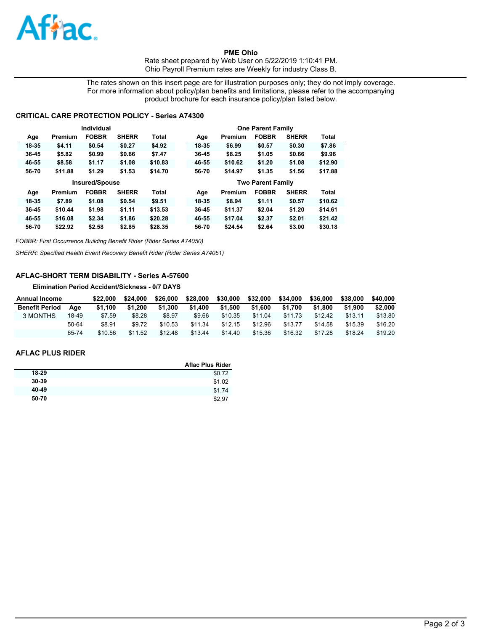

**PME Ohio**  Rate sheet prepared by Web User on 5/22/2019 1:10:41 PM. Ohio Payroll Premium rates are Weekly for industry Class B.

The rates shown on this insert page are for illustration purposes only; they do not imply coverage. For more information about policy/plan benefits and limitations, please refer to the accompanying product brochure for each insurance policy/plan listed below.

## **CRITICAL CARE PROTECTION POLICY - Series A74300**

|           |         | Individual            |              |              |       |         | <b>One Parent Family</b> |              |              |
|-----------|---------|-----------------------|--------------|--------------|-------|---------|--------------------------|--------------|--------------|
| Age       | Premium | <b>FOBBR</b>          | <b>SHERR</b> | Total        | Age   | Premium | <b>FOBBR</b>             | <b>SHERR</b> | Total        |
| 18-35     | \$4.11  | \$0.54                | \$0.27       | \$4.92       | 18-35 | \$6.99  | \$0.57                   | \$0.30       | \$7.86       |
| 36-45     | \$5.82  | \$0.99                | \$0.66       | \$7.47       | 36-45 | \$8.25  | \$1.05                   | \$0.66       | \$9.96       |
| 46-55     | \$8.58  | \$1.17                | \$1.08       | \$10.83      | 46-55 | \$10.62 | \$1.20                   | \$1.08       | \$12.90      |
| 56-70     | \$11.88 | \$1.29                | \$1.53       | \$14.70      | 56-70 | \$14.97 | \$1.35                   | \$1.56       | \$17.88      |
|           |         |                       |              |              |       |         |                          |              |              |
|           |         | <b>Insured/Spouse</b> |              |              |       |         | <b>Two Parent Family</b> |              |              |
| Age       | Premium | <b>FOBBR</b>          | <b>SHERR</b> | <b>Total</b> | Age   | Premium | <b>FOBBR</b>             | <b>SHERR</b> | <b>Total</b> |
| 18-35     | \$7.89  | \$1.08                | \$0.54       | \$9.51       | 18-35 | \$8.94  | \$1.11                   | \$0.57       | \$10.62      |
| $36 - 45$ | \$10.44 | \$1.98                | \$1.11       | \$13.53      | 36-45 | \$11.37 | \$2.04                   | \$1,20       | \$14.61      |
| 46-55     | \$16.08 | \$2.34                | \$1.86       | \$20.28      | 46-55 | \$17.04 | \$2.37                   | \$2.01       | \$21.42      |

*FOBBR: First Occurrence Building Benefit Rider (Rider Series A74050)*

*SHERR: Specified Health Event Recovery Benefit Rider (Rider Series A74051)*

# **AFLAC-SHORT TERM DISABILITY - Series A-57600**

**Elimination Period Accident/Sickness - 0/7 DAYS**

| <b>Annual Income</b>  |       | \$22.000 | \$24.000 | \$26,000 | \$28,000 | \$30,000 | \$32,000 | \$34,000 | \$36,000 | \$38,000 | \$40,000 |
|-----------------------|-------|----------|----------|----------|----------|----------|----------|----------|----------|----------|----------|
| <b>Benefit Period</b> | Aae   | \$1.100  | \$1.200  | \$1.300  | \$1.400  | \$1.500  | \$1.600  | \$1.700  | \$1.800  | \$1.900  | \$2,000  |
| 3 MONTHS              | 18-49 | \$7.59   | \$8.28   | \$8.97   | \$9.66   | \$10.35  | \$11.04  | \$11.73  | \$12.42  | \$13.11  | \$13.80  |
|                       | 50-64 | \$8.91   | \$9.72   | \$10.53  | \$11.34  | \$12.15  | \$12.96  | \$13.77  | \$14.58  | \$15.39  | \$16.20  |
|                       | 65-74 | \$10.56  | \$11.52  | \$12.48  | \$13.44  | \$14.40  | \$15.36  | \$16.32  | \$17.28  | \$18.24  | \$19.20  |

### **AFLAC PLUS RIDER**

|           | <b>Aflac Plus Rider</b> |
|-----------|-------------------------|
| 18-29     | \$0.72                  |
| $30 - 39$ | \$1.02                  |
| 40-49     | \$1.74                  |
| 50-70     | \$2.97                  |